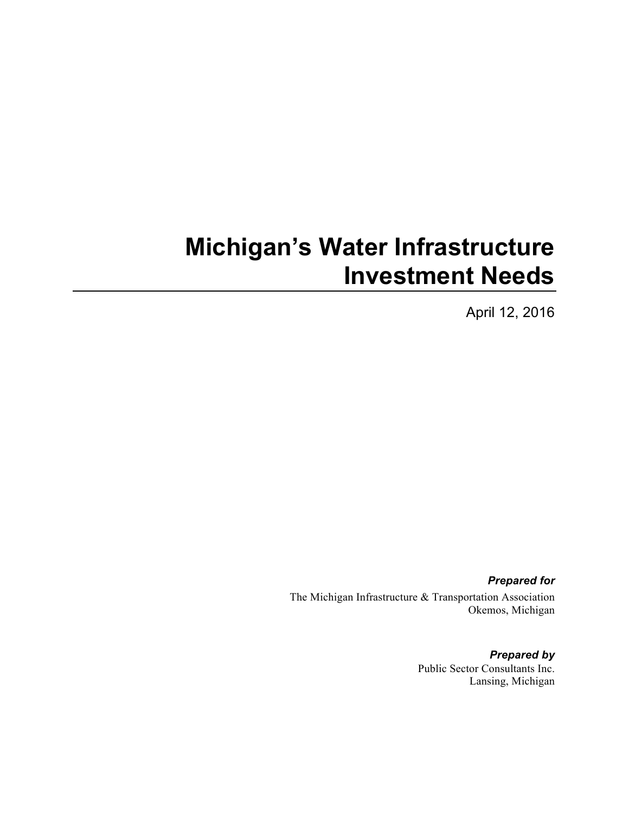# **Michigan's Water Infrastructure Investment Needs**

April 12, 2016

*Prepared for* The Michigan Infrastructure & Transportation Association Okemos, Michigan

> *Prepared by* Public Sector Consultants Inc. Lansing, Michigan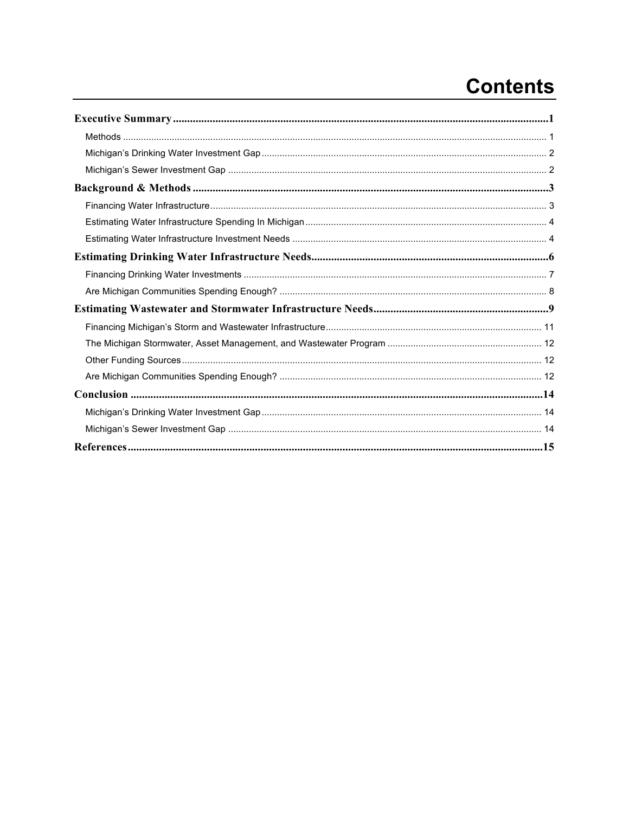## **Contents**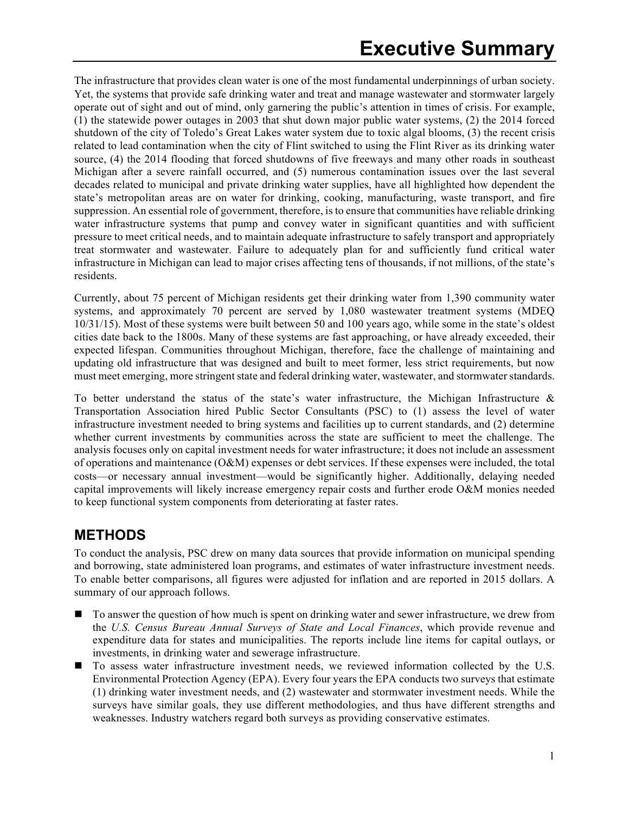The infrastructure that provides clean water is one of the most fundamental underpinnings of urban society. Yet, the systems that provide safe drinking water and treat and manage wastewater and stormwater largely operate out of sight and out of mind, only garnering the public's attention in times of crisis. For example, (1) the statewide power outages in 2003 that shut down major public water systems, (2) the 2014 forced shutdown of the city of Toledo's Great Lakes water system due to toxic algal blooms, (3) the recent crisis related to lead contamination when the city of Flint switched to using the Flint River as its drinking water source, (4) the 2014 flooding that forced shutdowns of five freeways and many other roads in southeast Michigan after a severe rainfall occurred, and (5) numerous contamination issues over the last several decades related to municipal and private drinking water supplies, have all highlighted how dependent the state's metropolitan areas are on water for drinking, cooking, manufacturing, waste transport, and fire suppression. An essential role of government, therefore, is to ensure that communities have reliable drinking water infrastructure systems that pump and convey water in significant quantities and with sufficient pressure to meet critical needs, and to maintain adequate infrastructure to safely transport and appropriately treat stormwater and wastewater. Failure to adequately plan for and sufficiently fund critical water infrastructure in Michigan can lead to major crises affecting tens of thousands, if not millions, of the state's residents.

Currently, about 75 percent of Michigan residents get their drinking water from 1,390 community water systems, and approximately 70 percent are served by 1,080 wastewater treatment systems (MDEQ 10/31/15). Most of these systems were built between 50 and 100 years ago, while some in the state's oldest cities date back to the 1800s. Many of these systems are fast approaching, or have already exceeded, their expected lifespan. Communities throughout Michigan, therefore, face the challenge of maintaining and updating old infrastructure that was designed and built to meet former, less strict requirements, but now must meet emerging, more stringent state and federal drinking water, wastewater, and stormwater standards.

To better understand the status of the state's water infrastructure, the Michigan Infrastructure & Transportation Association hired Public Sector Consultants (PSC) to (1) assess the level of water infrastructure investment needed to bring systems and facilities up to current standards, and (2) determine whether current investments by communities across the state are sufficient to meet the challenge. The analysis focuses only on capital investment needs for water infrastructure; it does not include an assessment of operations and maintenance  $(O\&M)$  expenses or debt services. If these expenses were included, the total costs—or necessary annual investment—would be significantly higher. Additionally, delaying needed capital improvements will likely increase emergency repair costs and further erode O&M monies needed to keep functional system components from deteriorating at faster rates.

#### **METHODS**

To conduct the analysis, PSC drew on many data sources that provide information on municipal spending and borrowing, state administered loan programs, and estimates of water infrastructure investment needs. To enable better comparisons, all figures were adjusted for inflation and are reported in 2015 dollars. A summary of our approach follows.

- To answer the question of how much is spent on drinking water and sewer infrastructure, we drew from the *U.S. Census Bureau Annual Surveys of State and Local Finances*, which provide revenue and expenditure data for states and municipalities. The reports include line items for capital outlays, or investments, in drinking water and sewerage infrastructure.
- To assess water infrastructure investment needs, we reviewed information collected by the U.S. Environmental Protection Agency (EPA). Every four years the EPA conducts two surveys that estimate (1) drinking water investment needs, and (2) wastewater and stormwater investment needs. While the surveys have similar goals, they use different methodologies, and thus have different strengths and weaknesses. Industry watchers regard both surveys as providing conservative estimates.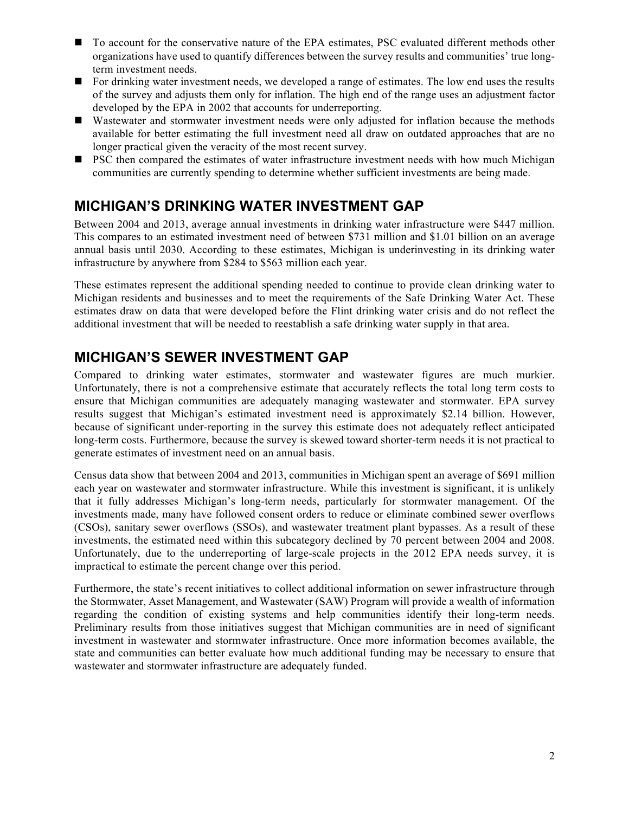- To account for the conservative nature of the EPA estimates, PSC evaluated different methods other organizations have used to quantify differences between the survey results and communities' true longterm investment needs.
- n For drinking water investment needs, we developed a range of estimates. The low end uses the results of the survey and adjusts them only for inflation. The high end of the range uses an adjustment factor developed by the EPA in 2002 that accounts for underreporting.
- n Wastewater and stormwater investment needs were only adjusted for inflation because the methods available for better estimating the full investment need all draw on outdated approaches that are no longer practical given the veracity of the most recent survey.
- **n** PSC then compared the estimates of water infrastructure investment needs with how much Michigan communities are currently spending to determine whether sufficient investments are being made.

#### **MICHIGAN'S DRINKING WATER INVESTMENT GAP**

Between 2004 and 2013, average annual investments in drinking water infrastructure were \$447 million. This compares to an estimated investment need of between \$731 million and \$1.01 billion on an average annual basis until 2030. According to these estimates, Michigan is underinvesting in its drinking water infrastructure by anywhere from \$284 to \$563 million each year.

These estimates represent the additional spending needed to continue to provide clean drinking water to Michigan residents and businesses and to meet the requirements of the Safe Drinking Water Act. These estimates draw on data that were developed before the Flint drinking water crisis and do not reflect the additional investment that will be needed to reestablish a safe drinking water supply in that area.

### **MICHIGAN'S SEWER INVESTMENT GAP**

Compared to drinking water estimates, stormwater and wastewater figures are much murkier. Unfortunately, there is not a comprehensive estimate that accurately reflects the total long term costs to ensure that Michigan communities are adequately managing wastewater and stormwater. EPA survey results suggest that Michigan's estimated investment need is approximately \$2.14 billion. However, because of significant under-reporting in the survey this estimate does not adequately reflect anticipated long-term costs. Furthermore, because the survey is skewed toward shorter-term needs it is not practical to generate estimates of investment need on an annual basis.

Census data show that between 2004 and 2013, communities in Michigan spent an average of \$691 million each year on wastewater and stormwater infrastructure. While this investment is significant, it is unlikely that it fully addresses Michigan's long-term needs, particularly for stormwater management. Of the investments made, many have followed consent orders to reduce or eliminate combined sewer overflows (CSOs), sanitary sewer overflows (SSOs), and wastewater treatment plant bypasses. As a result of these investments, the estimated need within this subcategory declined by 70 percent between 2004 and 2008. Unfortunately, due to the underreporting of large-scale projects in the 2012 EPA needs survey, it is impractical to estimate the percent change over this period.

Furthermore, the state's recent initiatives to collect additional information on sewer infrastructure through the Stormwater, Asset Management, and Wastewater (SAW) Program will provide a wealth of information regarding the condition of existing systems and help communities identify their long-term needs. Preliminary results from those initiatives suggest that Michigan communities are in need of significant investment in wastewater and stormwater infrastructure. Once more information becomes available, the state and communities can better evaluate how much additional funding may be necessary to ensure that wastewater and stormwater infrastructure are adequately funded.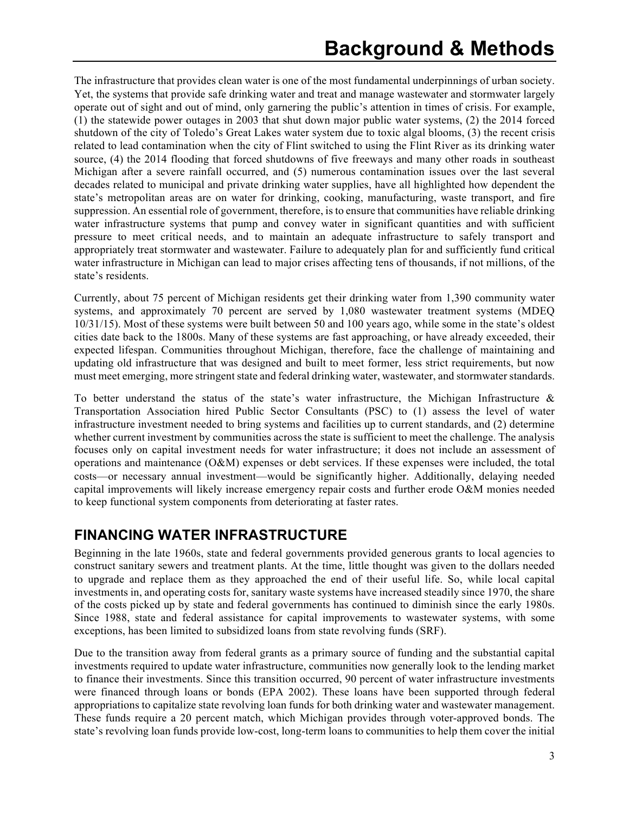The infrastructure that provides clean water is one of the most fundamental underpinnings of urban society. Yet, the systems that provide safe drinking water and treat and manage wastewater and stormwater largely operate out of sight and out of mind, only garnering the public's attention in times of crisis. For example, (1) the statewide power outages in 2003 that shut down major public water systems, (2) the 2014 forced shutdown of the city of Toledo's Great Lakes water system due to toxic algal blooms, (3) the recent crisis related to lead contamination when the city of Flint switched to using the Flint River as its drinking water source, (4) the 2014 flooding that forced shutdowns of five freeways and many other roads in southeast Michigan after a severe rainfall occurred, and (5) numerous contamination issues over the last several decades related to municipal and private drinking water supplies, have all highlighted how dependent the state's metropolitan areas are on water for drinking, cooking, manufacturing, waste transport, and fire suppression. An essential role of government, therefore, is to ensure that communities have reliable drinking water infrastructure systems that pump and convey water in significant quantities and with sufficient pressure to meet critical needs, and to maintain an adequate infrastructure to safely transport and appropriately treat stormwater and wastewater. Failure to adequately plan for and sufficiently fund critical water infrastructure in Michigan can lead to major crises affecting tens of thousands, if not millions, of the state's residents.

Currently, about 75 percent of Michigan residents get their drinking water from 1,390 community water systems, and approximately 70 percent are served by 1,080 wastewater treatment systems (MDEQ 10/31/15). Most of these systems were built between 50 and 100 years ago, while some in the state's oldest cities date back to the 1800s. Many of these systems are fast approaching, or have already exceeded, their expected lifespan. Communities throughout Michigan, therefore, face the challenge of maintaining and updating old infrastructure that was designed and built to meet former, less strict requirements, but now must meet emerging, more stringent state and federal drinking water, wastewater, and stormwater standards.

To better understand the status of the state's water infrastructure, the Michigan Infrastructure & Transportation Association hired Public Sector Consultants (PSC) to (1) assess the level of water infrastructure investment needed to bring systems and facilities up to current standards, and (2) determine whether current investment by communities across the state is sufficient to meet the challenge. The analysis focuses only on capital investment needs for water infrastructure; it does not include an assessment of operations and maintenance (O&M) expenses or debt services. If these expenses were included, the total costs—or necessary annual investment—would be significantly higher. Additionally, delaying needed capital improvements will likely increase emergency repair costs and further erode O&M monies needed to keep functional system components from deteriorating at faster rates.

### **FINANCING WATER INFRASTRUCTURE**

Beginning in the late 1960s, state and federal governments provided generous grants to local agencies to construct sanitary sewers and treatment plants. At the time, little thought was given to the dollars needed to upgrade and replace them as they approached the end of their useful life. So, while local capital investments in, and operating costs for, sanitary waste systems have increased steadily since 1970, the share of the costs picked up by state and federal governments has continued to diminish since the early 1980s. Since 1988, state and federal assistance for capital improvements to wastewater systems, with some exceptions, has been limited to subsidized loans from state revolving funds (SRF).

Due to the transition away from federal grants as a primary source of funding and the substantial capital investments required to update water infrastructure, communities now generally look to the lending market to finance their investments. Since this transition occurred, 90 percent of water infrastructure investments were financed through loans or bonds (EPA 2002). These loans have been supported through federal appropriations to capitalize state revolving loan funds for both drinking water and wastewater management. These funds require a 20 percent match, which Michigan provides through voter-approved bonds. The state's revolving loan funds provide low-cost, long-term loans to communities to help them cover the initial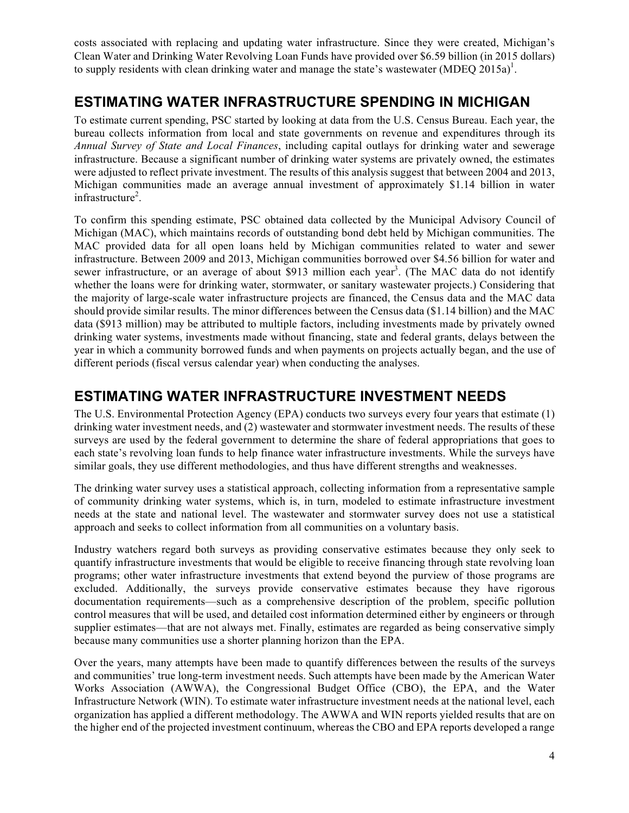costs associated with replacing and updating water infrastructure. Since they were created, Michigan's Clean Water and Drinking Water Revolving Loan Funds have provided over \$6.59 billion (in 2015 dollars) to supply residents with clean drinking water and manage the state's wastewater (MDEQ 2015a)<sup>1</sup>.

#### **ESTIMATING WATER INFRASTRUCTURE SPENDING IN MICHIGAN**

To estimate current spending, PSC started by looking at data from the U.S. Census Bureau. Each year, the bureau collects information from local and state governments on revenue and expenditures through its *Annual Survey of State and Local Finances*, including capital outlays for drinking water and sewerage infrastructure. Because a significant number of drinking water systems are privately owned, the estimates were adjusted to reflect private investment. The results of this analysis suggest that between 2004 and 2013, Michigan communities made an average annual investment of approximately \$1.14 billion in water infrastructure<sup>2</sup>.

To confirm this spending estimate, PSC obtained data collected by the Municipal Advisory Council of Michigan (MAC), which maintains records of outstanding bond debt held by Michigan communities. The MAC provided data for all open loans held by Michigan communities related to water and sewer infrastructure. Between 2009 and 2013, Michigan communities borrowed over \$4.56 billion for water and sewer infrastructure, or an average of about \$913 million each year<sup>3</sup>. (The MAC data do not identify whether the loans were for drinking water, stormwater, or sanitary wastewater projects.) Considering that the majority of large-scale water infrastructure projects are financed, the Census data and the MAC data should provide similar results. The minor differences between the Census data (\$1.14 billion) and the MAC data (\$913 million) may be attributed to multiple factors, including investments made by privately owned drinking water systems, investments made without financing, state and federal grants, delays between the year in which a community borrowed funds and when payments on projects actually began, and the use of different periods (fiscal versus calendar year) when conducting the analyses.

### **ESTIMATING WATER INFRASTRUCTURE INVESTMENT NEEDS**

The U.S. Environmental Protection Agency (EPA) conducts two surveys every four years that estimate (1) drinking water investment needs, and (2) wastewater and stormwater investment needs. The results of these surveys are used by the federal government to determine the share of federal appropriations that goes to each state's revolving loan funds to help finance water infrastructure investments. While the surveys have similar goals, they use different methodologies, and thus have different strengths and weaknesses.

The drinking water survey uses a statistical approach, collecting information from a representative sample of community drinking water systems, which is, in turn, modeled to estimate infrastructure investment needs at the state and national level. The wastewater and stormwater survey does not use a statistical approach and seeks to collect information from all communities on a voluntary basis.

Industry watchers regard both surveys as providing conservative estimates because they only seek to quantify infrastructure investments that would be eligible to receive financing through state revolving loan programs; other water infrastructure investments that extend beyond the purview of those programs are excluded. Additionally, the surveys provide conservative estimates because they have rigorous documentation requirements—such as a comprehensive description of the problem, specific pollution control measures that will be used, and detailed cost information determined either by engineers or through supplier estimates—that are not always met. Finally, estimates are regarded as being conservative simply because many communities use a shorter planning horizon than the EPA.

Over the years, many attempts have been made to quantify differences between the results of the surveys and communities' true long-term investment needs. Such attempts have been made by the American Water Works Association (AWWA), the Congressional Budget Office (CBO), the EPA, and the Water Infrastructure Network (WIN). To estimate water infrastructure investment needs at the national level, each organization has applied a different methodology. The AWWA and WIN reports yielded results that are on the higher end of the projected investment continuum, whereas the CBO and EPA reports developed a range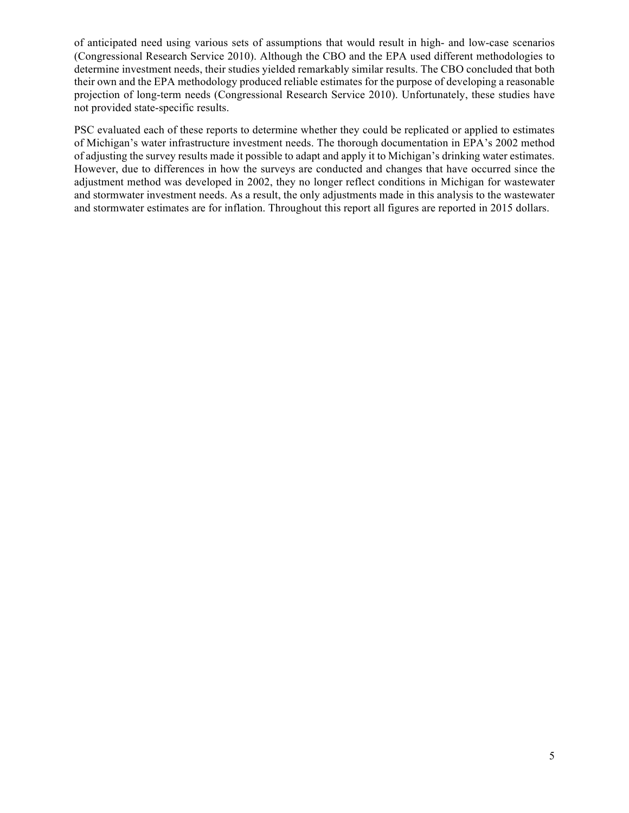of anticipated need using various sets of assumptions that would result in high- and low-case scenarios (Congressional Research Service 2010). Although the CBO and the EPA used different methodologies to determine investment needs, their studies yielded remarkably similar results. The CBO concluded that both their own and the EPA methodology produced reliable estimates for the purpose of developing a reasonable projection of long-term needs (Congressional Research Service 2010). Unfortunately, these studies have not provided state-specific results.

PSC evaluated each of these reports to determine whether they could be replicated or applied to estimates of Michigan's water infrastructure investment needs. The thorough documentation in EPA's 2002 method of adjusting the survey results made it possible to adapt and apply it to Michigan's drinking water estimates. However, due to differences in how the surveys are conducted and changes that have occurred since the adjustment method was developed in 2002, they no longer reflect conditions in Michigan for wastewater and stormwater investment needs. As a result, the only adjustments made in this analysis to the wastewater and stormwater estimates are for inflation. Throughout this report all figures are reported in 2015 dollars.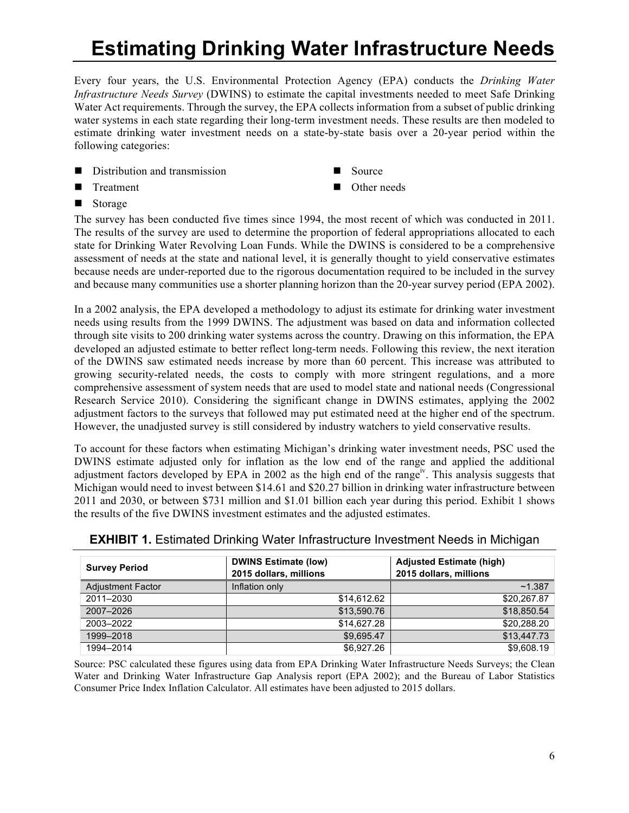## **Estimating Drinking Water Infrastructure Needs**

Every four years, the U.S. Environmental Protection Agency (EPA) conducts the *Drinking Water Infrastructure Needs Survey* (DWINS) to estimate the capital investments needed to meet Safe Drinking Water Act requirements. Through the survey, the EPA collects information from a subset of public drinking water systems in each state regarding their long-term investment needs. These results are then modeled to estimate drinking water investment needs on a state-by-state basis over a 20-year period within the following categories:

- $\blacksquare$  Distribution and transmission
- **n** Treatment
- Storage
- Source
- Other needs

The survey has been conducted five times since 1994, the most recent of which was conducted in 2011. The results of the survey are used to determine the proportion of federal appropriations allocated to each state for Drinking Water Revolving Loan Funds. While the DWINS is considered to be a comprehensive assessment of needs at the state and national level, it is generally thought to yield conservative estimates because needs are under-reported due to the rigorous documentation required to be included in the survey and because many communities use a shorter planning horizon than the 20-year survey period (EPA 2002).

In a 2002 analysis, the EPA developed a methodology to adjust its estimate for drinking water investment needs using results from the 1999 DWINS. The adjustment was based on data and information collected through site visits to 200 drinking water systems across the country. Drawing on this information, the EPA developed an adjusted estimate to better reflect long-term needs. Following this review, the next iteration of the DWINS saw estimated needs increase by more than 60 percent. This increase was attributed to growing security-related needs, the costs to comply with more stringent regulations, and a more comprehensive assessment of system needs that are used to model state and national needs (Congressional Research Service 2010). Considering the significant change in DWINS estimates, applying the 2002 adjustment factors to the surveys that followed may put estimated need at the higher end of the spectrum. However, the unadjusted survey is still considered by industry watchers to yield conservative results.

To account for these factors when estimating Michigan's drinking water investment needs, PSC used the DWINS estimate adjusted only for inflation as the low end of the range and applied the additional adjustment factors developed by EPA in 2002 as the high end of the range<sup>iv</sup>. This analysis suggests that Michigan would need to invest between \$14.61 and \$20.27 billion in drinking water infrastructure between 2011 and 2030, or between \$731 million and \$1.01 billion each year during this period. Exhibit 1 shows the results of the five DWINS investment estimates and the adjusted estimates.

| <b>Survey Period</b> | <b>DWINS Estimate (low)</b><br>2015 dollars, millions | <b>Adjusted Estimate (high)</b><br>2015 dollars, millions |
|----------------------|-------------------------------------------------------|-----------------------------------------------------------|
| Adjustment Factor    | Inflation only                                        | ~1.387                                                    |
| 2011-2030            | \$14,612.62                                           | \$20,267.87                                               |
| 2007-2026            | \$13,590.76                                           | \$18.850.54                                               |
| 2003-2022            | \$14,627.28                                           | \$20,288.20                                               |
| 1999-2018            | \$9.695.47                                            | \$13,447.73                                               |
| 1994-2014            | \$6,927,26                                            | \$9,608.19                                                |

**EXHIBIT 1.** Estimated Drinking Water Infrastructure Investment Needs in Michigan

Source: PSC calculated these figures using data from EPA Drinking Water Infrastructure Needs Surveys; the Clean Water and Drinking Water Infrastructure Gap Analysis report (EPA 2002); and the Bureau of Labor Statistics Consumer Price Index Inflation Calculator. All estimates have been adjusted to 2015 dollars.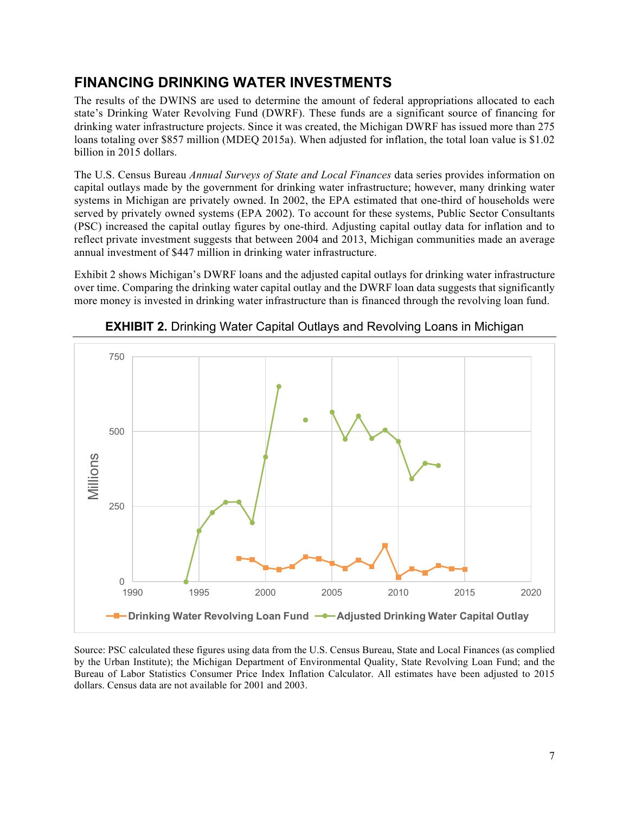#### **FINANCING DRINKING WATER INVESTMENTS**

The results of the DWINS are used to determine the amount of federal appropriations allocated to each state's Drinking Water Revolving Fund (DWRF). These funds are a significant source of financing for drinking water infrastructure projects. Since it was created, the Michigan DWRF has issued more than 275 loans totaling over \$857 million (MDEQ 2015a). When adjusted for inflation, the total loan value is \$1.02 billion in 2015 dollars.

The U.S. Census Bureau *Annual Surveys of State and Local Finances* data series provides information on capital outlays made by the government for drinking water infrastructure; however, many drinking water systems in Michigan are privately owned. In 2002, the EPA estimated that one-third of households were served by privately owned systems (EPA 2002). To account for these systems, Public Sector Consultants (PSC) increased the capital outlay figures by one-third. Adjusting capital outlay data for inflation and to reflect private investment suggests that between 2004 and 2013, Michigan communities made an average annual investment of \$447 million in drinking water infrastructure.

Exhibit 2 shows Michigan's DWRF loans and the adjusted capital outlays for drinking water infrastructure over time. Comparing the drinking water capital outlay and the DWRF loan data suggests that significantly more money is invested in drinking water infrastructure than is financed through the revolving loan fund.



**EXHIBIT 2.** Drinking Water Capital Outlays and Revolving Loans in Michigan

Source: PSC calculated these figures using data from the U.S. Census Bureau, State and Local Finances (as complied by the Urban Institute); the Michigan Department of Environmental Quality, State Revolving Loan Fund; and the Bureau of Labor Statistics Consumer Price Index Inflation Calculator. All estimates have been adjusted to 2015 dollars. Census data are not available for 2001 and 2003.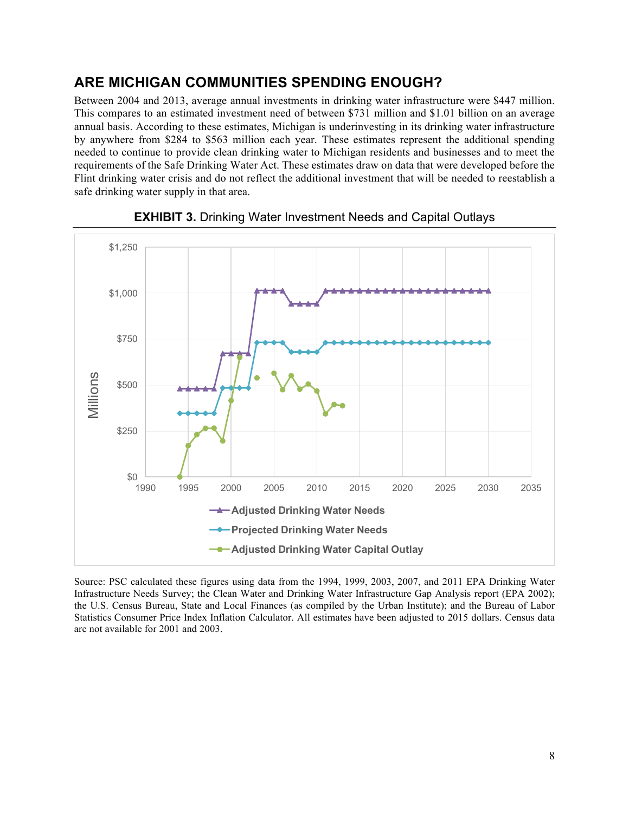#### **ARE MICHIGAN COMMUNITIES SPENDING ENOUGH?**

Between 2004 and 2013, average annual investments in drinking water infrastructure were \$447 million. This compares to an estimated investment need of between \$731 million and \$1.01 billion on an average annual basis. According to these estimates, Michigan is underinvesting in its drinking water infrastructure by anywhere from \$284 to \$563 million each year. These estimates represent the additional spending needed to continue to provide clean drinking water to Michigan residents and businesses and to meet the requirements of the Safe Drinking Water Act. These estimates draw on data that were developed before the Flint drinking water crisis and do not reflect the additional investment that will be needed to reestablish a safe drinking water supply in that area.



**EXHIBIT 3.** Drinking Water Investment Needs and Capital Outlays

Source: PSC calculated these figures using data from the 1994, 1999, 2003, 2007, and 2011 EPA Drinking Water Infrastructure Needs Survey; the Clean Water and Drinking Water Infrastructure Gap Analysis report (EPA 2002); the U.S. Census Bureau, State and Local Finances (as compiled by the Urban Institute); and the Bureau of Labor Statistics Consumer Price Index Inflation Calculator. All estimates have been adjusted to 2015 dollars. Census data are not available for 2001 and 2003.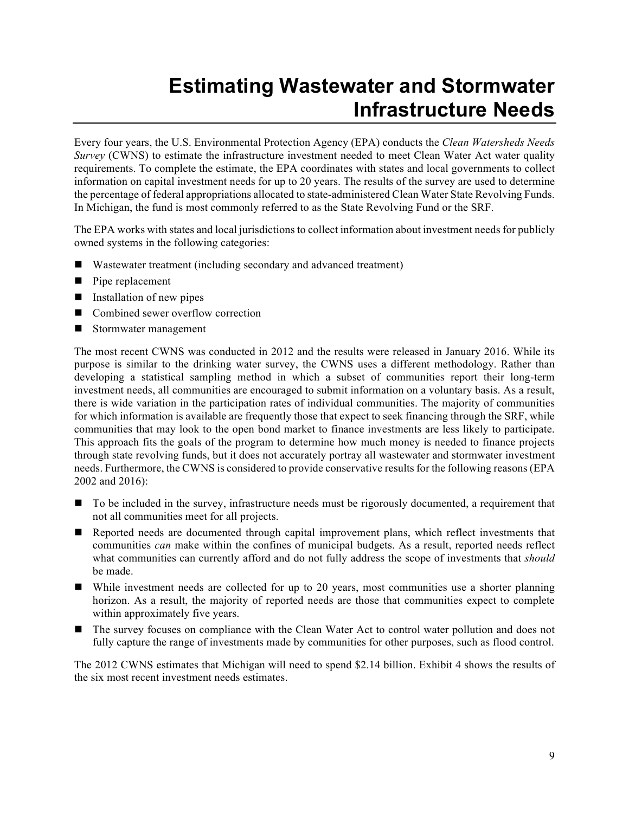### **Estimating Wastewater and Stormwater Infrastructure Needs**

Every four years, the U.S. Environmental Protection Agency (EPA) conducts the *Clean Watersheds Needs Survey* (CWNS) to estimate the infrastructure investment needed to meet Clean Water Act water quality requirements. To complete the estimate, the EPA coordinates with states and local governments to collect information on capital investment needs for up to 20 years. The results of the survey are used to determine the percentage of federal appropriations allocated to state-administered Clean Water State Revolving Funds. In Michigan, the fund is most commonly referred to as the State Revolving Fund or the SRF.

The EPA works with states and local jurisdictions to collect information about investment needs for publicly owned systems in the following categories:

- Wastewater treatment (including secondary and advanced treatment)
- $\blacksquare$  Pipe replacement
- $\blacksquare$  Installation of new pipes
- Combined sewer overflow correction
- $\blacksquare$  Stormwater management

The most recent CWNS was conducted in 2012 and the results were released in January 2016. While its purpose is similar to the drinking water survey, the CWNS uses a different methodology. Rather than developing a statistical sampling method in which a subset of communities report their long-term investment needs, all communities are encouraged to submit information on a voluntary basis. As a result, there is wide variation in the participation rates of individual communities. The majority of communities for which information is available are frequently those that expect to seek financing through the SRF, while communities that may look to the open bond market to finance investments are less likely to participate. This approach fits the goals of the program to determine how much money is needed to finance projects through state revolving funds, but it does not accurately portray all wastewater and stormwater investment needs. Furthermore, the CWNS is considered to provide conservative results for the following reasons (EPA 2002 and 2016):

- To be included in the survey, infrastructure needs must be rigorously documented, a requirement that not all communities meet for all projects.
- n Reported needs are documented through capital improvement plans, which reflect investments that communities *can* make within the confines of municipal budgets. As a result, reported needs reflect what communities can currently afford and do not fully address the scope of investments that *should* be made.
- While investment needs are collected for up to 20 years, most communities use a shorter planning horizon. As a result, the majority of reported needs are those that communities expect to complete within approximately five years.
- The survey focuses on compliance with the Clean Water Act to control water pollution and does not fully capture the range of investments made by communities for other purposes, such as flood control.

The 2012 CWNS estimates that Michigan will need to spend \$2.14 billion. Exhibit 4 shows the results of the six most recent investment needs estimates.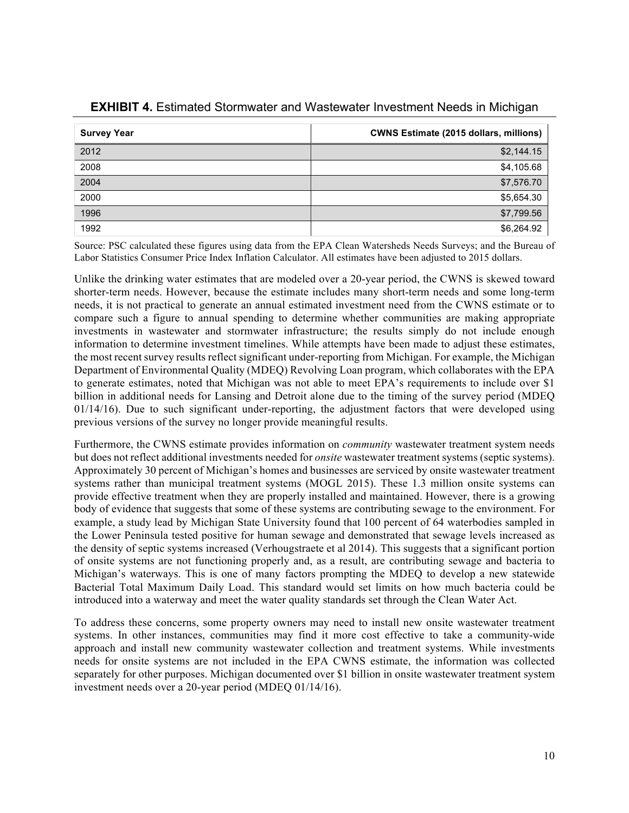| <b>Survey Year</b> | <b>CWNS Estimate (2015 dollars, millions)</b> |
|--------------------|-----------------------------------------------|
| 2012               | \$2,144.15                                    |
| 2008               | \$4,105.68                                    |
| 2004               | \$7,576.70                                    |
| 2000               | \$5,654.30                                    |
| 1996               | \$7,799.56                                    |
| 1992               | \$6,264.92                                    |

#### **EXHIBIT 4.** Estimated Stormwater and Wastewater Investment Needs in Michigan

Source: PSC calculated these figures using data from the EPA Clean Watersheds Needs Surveys; and the Bureau of Labor Statistics Consumer Price Index Inflation Calculator. All estimates have been adjusted to 2015 dollars.

Unlike the drinking water estimates that are modeled over a 20-year period, the CWNS is skewed toward shorter-term needs. However, because the estimate includes many short-term needs and some long-term needs, it is not practical to generate an annual estimated investment need from the CWNS estimate or to compare such a figure to annual spending to determine whether communities are making appropriate investments in wastewater and stormwater infrastructure; the results simply do not include enough information to determine investment timelines. While attempts have been made to adjust these estimates, the most recent survey results reflect significant under-reporting from Michigan. For example, the Michigan Department of Environmental Quality (MDEQ) Revolving Loan program, which collaborates with the EPA to generate estimates, noted that Michigan was not able to meet EPA's requirements to include over \$1 billion in additional needs for Lansing and Detroit alone due to the timing of the survey period (MDEQ  $01/14/16$ ). Due to such significant under-reporting, the adjustment factors that were developed using previous versions of the survey no longer provide meaningful results.

Furthermore, the CWNS estimate provides information on *community* wastewater treatment system needs but does not reflect additional investments needed for *onsite* wastewater treatment systems (septic systems). Approximately 30 percent of Michigan's homes and businesses are serviced by onsite wastewater treatment systems rather than municipal treatment systems (MOGL 2015). These 1.3 million onsite systems can provide effective treatment when they are properly installed and maintained. However, there is a growing body of evidence that suggests that some of these systems are contributing sewage to the environment. For example, a study lead by Michigan State University found that 100 percent of 64 waterbodies sampled in the Lower Peninsula tested positive for human sewage and demonstrated that sewage levels increased as the density of septic systems increased (Verhougstraete et al 2014). This suggests that a significant portion of onsite systems are not functioning properly and, as a result, are contributing sewage and bacteria to Michigan's waterways. This is one of many factors prompting the MDEQ to develop a new statewide Bacterial Total Maximum Daily Load. This standard would set limits on how much bacteria could be introduced into a waterway and meet the water quality standards set through the Clean Water Act.

To address these concerns, some property owners may need to install new onsite wastewater treatment systems. In other instances, communities may find it more cost effective to take a community-wide approach and install new community wastewater collection and treatment systems. While investments needs for onsite systems are not included in the EPA CWNS estimate, the information was collected separately for other purposes. Michigan documented over \$1 billion in onsite wastewater treatment system investment needs over a 20-year period (MDEQ 01/14/16).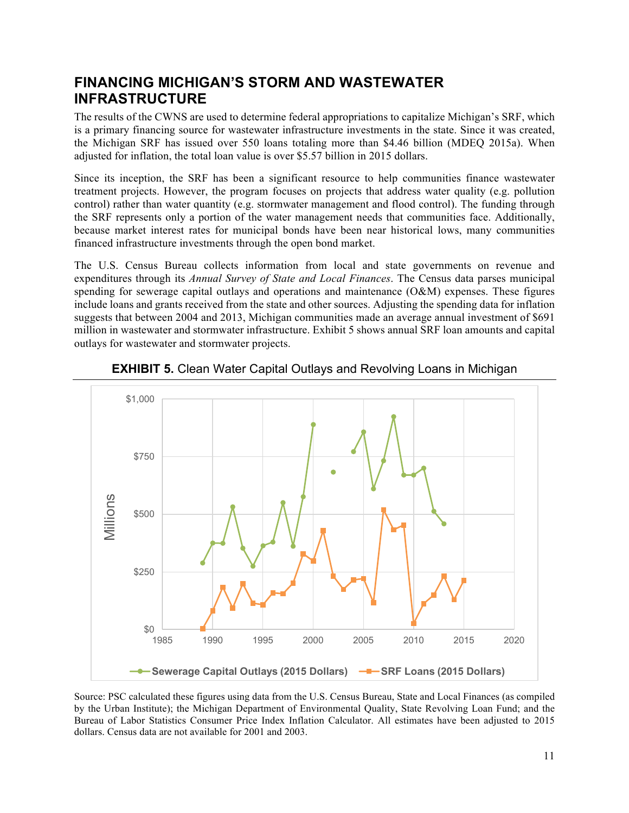#### **FINANCING MICHIGAN'S STORM AND WASTEWATER INFRASTRUCTURE**

The results of the CWNS are used to determine federal appropriations to capitalize Michigan's SRF, which is a primary financing source for wastewater infrastructure investments in the state. Since it was created, the Michigan SRF has issued over 550 loans totaling more than \$4.46 billion (MDEQ 2015a). When adjusted for inflation, the total loan value is over \$5.57 billion in 2015 dollars.

Since its inception, the SRF has been a significant resource to help communities finance wastewater treatment projects. However, the program focuses on projects that address water quality (e.g. pollution control) rather than water quantity (e.g. stormwater management and flood control). The funding through the SRF represents only a portion of the water management needs that communities face. Additionally, because market interest rates for municipal bonds have been near historical lows, many communities financed infrastructure investments through the open bond market.

The U.S. Census Bureau collects information from local and state governments on revenue and expenditures through its *Annual Survey of State and Local Finances*. The Census data parses municipal spending for sewerage capital outlays and operations and maintenance (O&M) expenses. These figures include loans and grants received from the state and other sources. Adjusting the spending data for inflation suggests that between 2004 and 2013, Michigan communities made an average annual investment of \$691 million in wastewater and stormwater infrastructure. Exhibit 5 shows annual SRF loan amounts and capital outlays for wastewater and stormwater projects.



**EXHIBIT 5.** Clean Water Capital Outlays and Revolving Loans in Michigan

Source: PSC calculated these figures using data from the U.S. Census Bureau, State and Local Finances (as compiled by the Urban Institute); the Michigan Department of Environmental Quality, State Revolving Loan Fund; and the Bureau of Labor Statistics Consumer Price Index Inflation Calculator. All estimates have been adjusted to 2015 dollars. Census data are not available for 2001 and 2003.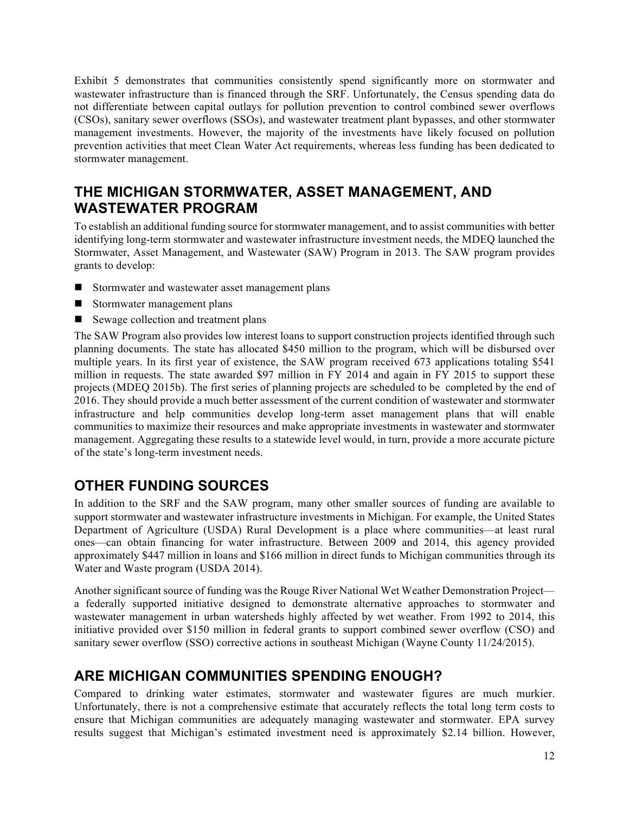Exhibit 5 demonstrates that communities consistently spend significantly more on stormwater and wastewater infrastructure than is financed through the SRF. Unfortunately, the Census spending data do not differentiate between capital outlays for pollution prevention to control combined sewer overflows (CSOs), sanitary sewer overflows (SSOs), and wastewater treatment plant bypasses, and other stormwater management investments. However, the majority of the investments have likely focused on pollution prevention activities that meet Clean Water Act requirements, whereas less funding has been dedicated to stormwater management.

#### **THE MICHIGAN STORMWATER, ASSET MANAGEMENT, AND WASTEWATER PROGRAM**

To establish an additional funding source for stormwater management, and to assist communities with better identifying long-term stormwater and wastewater infrastructure investment needs, the MDEQ launched the Stormwater, Asset Management, and Wastewater (SAW) Program in 2013. The SAW program provides grants to develop:

- Stormwater and wastewater asset management plans
- $\blacksquare$  Stormwater management plans
- Sewage collection and treatment plans

The SAW Program also provides low interest loans to support construction projects identified through such planning documents. The state has allocated \$450 million to the program, which will be disbursed over multiple years. In its first year of existence, the SAW program received 673 applications totaling \$541 million in requests. The state awarded \$97 million in FY 2014 and again in FY 2015 to support these projects (MDEQ 2015b). The first series of planning projects are scheduled to be completed by the end of 2016. They should provide a much better assessment of the current condition of wastewater and stormwater infrastructure and help communities develop long-term asset management plans that will enable communities to maximize their resources and make appropriate investments in wastewater and stormwater management. Aggregating these results to a statewide level would, in turn, provide a more accurate picture of the state's long-term investment needs.

### **OTHER FUNDING SOURCES**

In addition to the SRF and the SAW program, many other smaller sources of funding are available to support stormwater and wastewater infrastructure investments in Michigan. For example, the United States Department of Agriculture (USDA) Rural Development is a place where communities—at least rural ones—can obtain financing for water infrastructure. Between 2009 and 2014, this agency provided approximately \$447 million in loans and \$166 million in direct funds to Michigan communities through its Water and Waste program (USDA 2014).

Another significant source of funding was the Rouge River National Wet Weather Demonstration Project a federally supported initiative designed to demonstrate alternative approaches to stormwater and wastewater management in urban watersheds highly affected by wet weather. From 1992 to 2014, this initiative provided over \$150 million in federal grants to support combined sewer overflow (CSO) and sanitary sewer overflow (SSO) corrective actions in southeast Michigan (Wayne County 11/24/2015).

#### **ARE MICHIGAN COMMUNITIES SPENDING ENOUGH?**

Compared to drinking water estimates, stormwater and wastewater figures are much murkier. Unfortunately, there is not a comprehensive estimate that accurately reflects the total long term costs to ensure that Michigan communities are adequately managing wastewater and stormwater. EPA survey results suggest that Michigan's estimated investment need is approximately \$2.14 billion. However,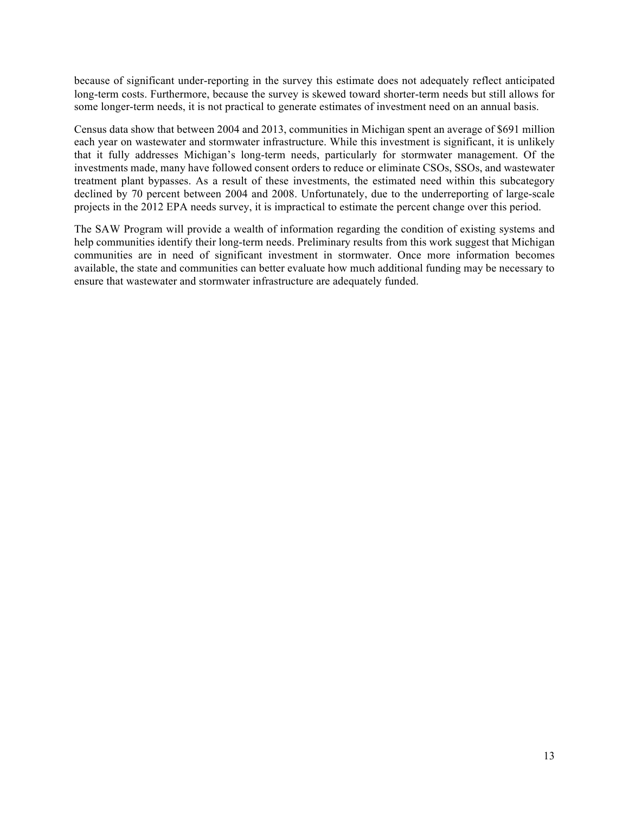because of significant under-reporting in the survey this estimate does not adequately reflect anticipated long-term costs. Furthermore, because the survey is skewed toward shorter-term needs but still allows for some longer-term needs, it is not practical to generate estimates of investment need on an annual basis.

Census data show that between 2004 and 2013, communities in Michigan spent an average of \$691 million each year on wastewater and stormwater infrastructure. While this investment is significant, it is unlikely that it fully addresses Michigan's long-term needs, particularly for stormwater management. Of the investments made, many have followed consent orders to reduce or eliminate CSOs, SSOs, and wastewater treatment plant bypasses. As a result of these investments, the estimated need within this subcategory declined by 70 percent between 2004 and 2008. Unfortunately, due to the underreporting of large-scale projects in the 2012 EPA needs survey, it is impractical to estimate the percent change over this period.

The SAW Program will provide a wealth of information regarding the condition of existing systems and help communities identify their long-term needs. Preliminary results from this work suggest that Michigan communities are in need of significant investment in stormwater. Once more information becomes available, the state and communities can better evaluate how much additional funding may be necessary to ensure that wastewater and stormwater infrastructure are adequately funded.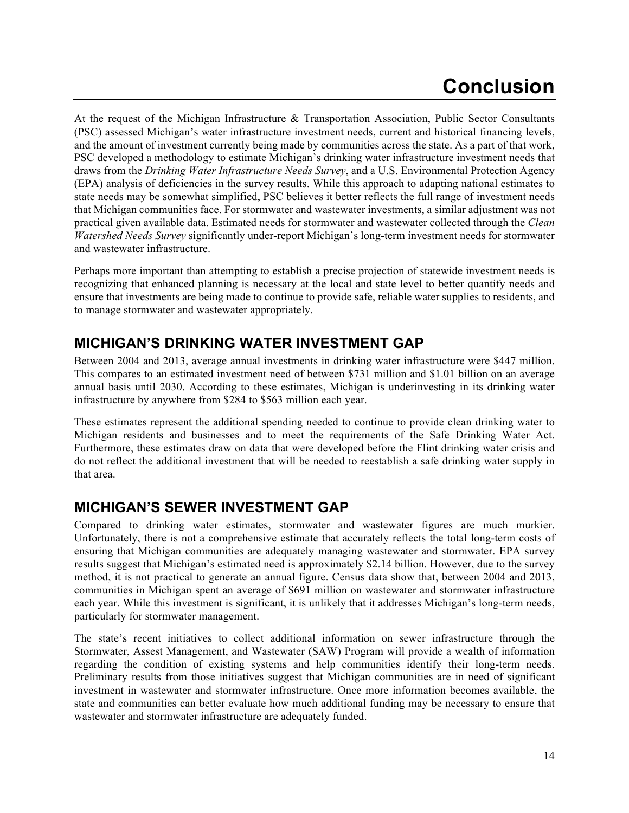### **Conclusion**

At the request of the Michigan Infrastructure & Transportation Association, Public Sector Consultants (PSC) assessed Michigan's water infrastructure investment needs, current and historical financing levels, and the amount of investment currently being made by communities across the state. As a part of that work, PSC developed a methodology to estimate Michigan's drinking water infrastructure investment needs that draws from the *Drinking Water Infrastructure Needs Survey*, and a U.S. Environmental Protection Agency (EPA) analysis of deficiencies in the survey results. While this approach to adapting national estimates to state needs may be somewhat simplified, PSC believes it better reflects the full range of investment needs that Michigan communities face. For stormwater and wastewater investments, a similar adjustment was not practical given available data. Estimated needs for stormwater and wastewater collected through the *Clean Watershed Needs Survey* significantly under-report Michigan's long-term investment needs for stormwater and wastewater infrastructure.

Perhaps more important than attempting to establish a precise projection of statewide investment needs is recognizing that enhanced planning is necessary at the local and state level to better quantify needs and ensure that investments are being made to continue to provide safe, reliable water supplies to residents, and to manage stormwater and wastewater appropriately.

### **MICHIGAN'S DRINKING WATER INVESTMENT GAP**

Between 2004 and 2013, average annual investments in drinking water infrastructure were \$447 million. This compares to an estimated investment need of between \$731 million and \$1.01 billion on an average annual basis until 2030. According to these estimates, Michigan is underinvesting in its drinking water infrastructure by anywhere from \$284 to \$563 million each year.

These estimates represent the additional spending needed to continue to provide clean drinking water to Michigan residents and businesses and to meet the requirements of the Safe Drinking Water Act. Furthermore, these estimates draw on data that were developed before the Flint drinking water crisis and do not reflect the additional investment that will be needed to reestablish a safe drinking water supply in that area.

### **MICHIGAN'S SEWER INVESTMENT GAP**

Compared to drinking water estimates, stormwater and wastewater figures are much murkier. Unfortunately, there is not a comprehensive estimate that accurately reflects the total long-term costs of ensuring that Michigan communities are adequately managing wastewater and stormwater. EPA survey results suggest that Michigan's estimated need is approximately \$2.14 billion. However, due to the survey method, it is not practical to generate an annual figure. Census data show that, between 2004 and 2013, communities in Michigan spent an average of \$691 million on wastewater and stormwater infrastructure each year. While this investment is significant, it is unlikely that it addresses Michigan's long-term needs, particularly for stormwater management.

The state's recent initiatives to collect additional information on sewer infrastructure through the Stormwater, Assest Management, and Wastewater (SAW) Program will provide a wealth of information regarding the condition of existing systems and help communities identify their long-term needs. Preliminary results from those initiatives suggest that Michigan communities are in need of significant investment in wastewater and stormwater infrastructure. Once more information becomes available, the state and communities can better evaluate how much additional funding may be necessary to ensure that wastewater and stormwater infrastructure are adequately funded.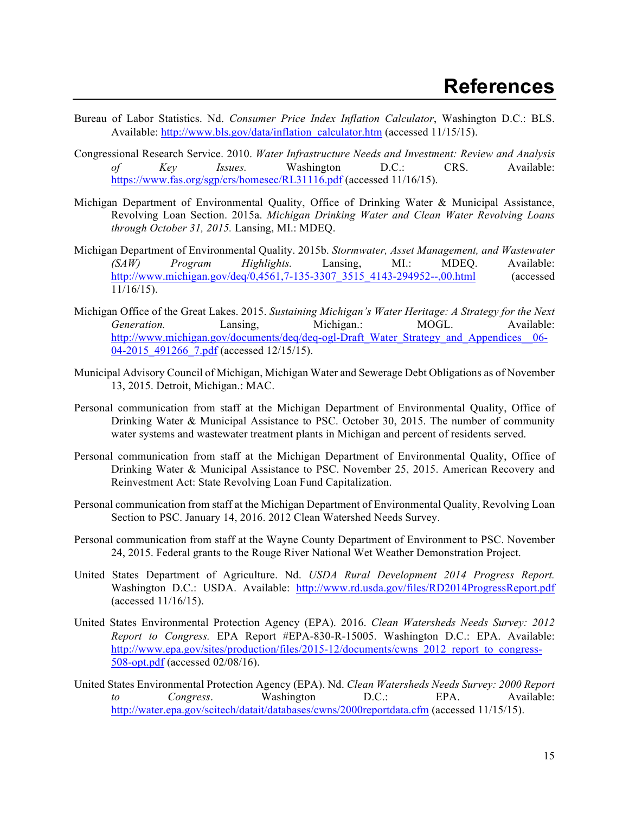- Bureau of Labor Statistics. Nd. *Consumer Price Index Inflation Calculator*, Washington D.C.: BLS. Available: http://www.bls.gov/data/inflation\_calculator.htm (accessed 11/15/15).
- Congressional Research Service. 2010. *Water Infrastructure Needs and Investment: Review and Analysis of Key Issues.* Washington D.C.: CRS. Available: https://www.fas.org/sgp/crs/homesec/RL31116.pdf (accessed 11/16/15).
- Michigan Department of Environmental Quality, Office of Drinking Water & Municipal Assistance, Revolving Loan Section. 2015a. *Michigan Drinking Water and Clean Water Revolving Loans through October 31, 2015.* Lansing, MI.: MDEQ.
- Michigan Department of Environmental Quality. 2015b. *Stormwater, Asset Management, and Wastewater (SAW) Program Highlights.* Lansing, MI.: MDEQ. Available: http://www.michigan.gov/deq/0,4561,7-135-3307\_3515\_4143-294952--,00.html (accessed  $11/16/15$ ).
- Michigan Office of the Great Lakes. 2015. *Sustaining Michigan's Water Heritage: A Strategy for the Next Generation.* Lansing, Michigan.: MOGL. Available: http://www.michigan.gov/documents/deq/deq-ogl-Draft\_Water\_Strategy\_and\_Appendices\_06-04-2015 491266 7.pdf (accessed 12/15/15).
- Municipal Advisory Council of Michigan, Michigan Water and Sewerage Debt Obligations as of November 13, 2015. Detroit, Michigan.: MAC.
- Personal communication from staff at the Michigan Department of Environmental Quality, Office of Drinking Water & Municipal Assistance to PSC. October 30, 2015. The number of community water systems and wastewater treatment plants in Michigan and percent of residents served.
- Personal communication from staff at the Michigan Department of Environmental Quality, Office of Drinking Water & Municipal Assistance to PSC. November 25, 2015. American Recovery and Reinvestment Act: State Revolving Loan Fund Capitalization.
- Personal communication from staff at the Michigan Department of Environmental Quality, Revolving Loan Section to PSC. January 14, 2016. 2012 Clean Watershed Needs Survey.
- Personal communication from staff at the Wayne County Department of Environment to PSC. November 24, 2015. Federal grants to the Rouge River National Wet Weather Demonstration Project.
- United States Department of Agriculture. Nd. *USDA Rural Development 2014 Progress Report.* Washington D.C.: USDA. Available: http://www.rd.usda.gov/files/RD2014ProgressReport.pdf (accessed 11/16/15).
- United States Environmental Protection Agency (EPA). 2016. *Clean Watersheds Needs Survey: 2012 Report to Congress.* EPA Report #EPA-830-R-15005. Washington D.C.: EPA. Available: http://www.epa.gov/sites/production/files/2015-12/documents/cwns\_2012\_report\_to\_congress-508-opt.pdf (accessed 02/08/16).
- United States Environmental Protection Agency (EPA). Nd. *Clean Watersheds Needs Survey: 2000 Report to Congress*. Washington D.C.: EPA. Available: http://water.epa.gov/scitech/datait/databases/cwns/2000reportdata.cfm (accessed 11/15/15).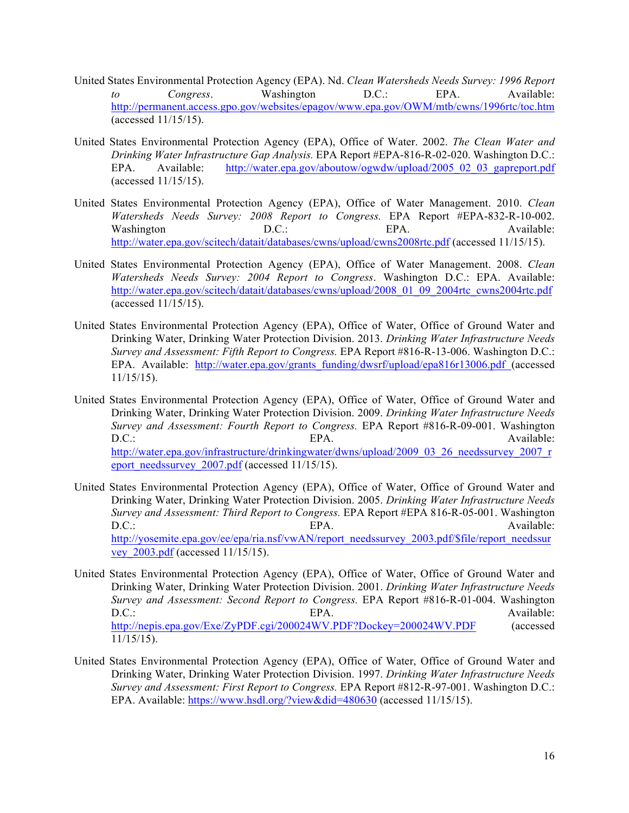- United States Environmental Protection Agency (EPA). Nd. *Clean Watersheds Needs Survey: 1996 Report to Congress*. Washington D.C.: EPA. Available: http://permanent.access.gpo.gov/websites/epagov/www.epa.gov/OWM/mtb/cwns/1996rtc/toc.htm (accessed 11/15/15).
- United States Environmental Protection Agency (EPA), Office of Water. 2002. *The Clean Water and Drinking Water Infrastructure Gap Analysis.* EPA Report #EPA-816-R-02-020. Washington D.C.: EPA. Available: http://water.epa.gov/aboutow/ogwdw/upload/2005\_02\_03\_gapreport.pdf (accessed 11/15/15).
- United States Environmental Protection Agency (EPA), Office of Water Management. 2010. *Clean Watersheds Needs Survey: 2008 Report to Congress.* EPA Report #EPA-832-R-10-002. Washington  $D.C.:$  EPA. Available: http://water.epa.gov/scitech/datait/databases/cwns/upload/cwns2008rtc.pdf (accessed 11/15/15).
- United States Environmental Protection Agency (EPA), Office of Water Management. 2008. *Clean Watersheds Needs Survey: 2004 Report to Congress*. Washington D.C.: EPA. Available: http://water.epa.gov/scitech/datait/databases/cwns/upload/2008\_01\_09\_2004rtc\_cwns2004rtc.pdf (accessed 11/15/15).
- United States Environmental Protection Agency (EPA), Office of Water, Office of Ground Water and Drinking Water, Drinking Water Protection Division. 2013. *Drinking Water Infrastructure Needs Survey and Assessment: Fifth Report to Congress.* EPA Report #816-R-13-006. Washington D.C.: EPA. Available: http://water.epa.gov/grants\_funding/dwsrf/upload/epa816r13006.pdf (accessed 11/15/15).
- United States Environmental Protection Agency (EPA), Office of Water, Office of Ground Water and Drinking Water, Drinking Water Protection Division. 2009. *Drinking Water Infrastructure Needs Survey and Assessment: Fourth Report to Congress.* EPA Report #816-R-09-001. Washington D.C.: BPA. EPA. Available: http://water.epa.gov/infrastructure/drinkingwater/dwns/upload/2009\_03\_26\_needssurvey\_2007\_r eport\_needssurvey\_2007.pdf (accessed 11/15/15).
- United States Environmental Protection Agency (EPA), Office of Water, Office of Ground Water and Drinking Water, Drinking Water Protection Division. 2005. *Drinking Water Infrastructure Needs Survey and Assessment: Third Report to Congress.* EPA Report #EPA 816-R-05-001. Washington D.C.: BPA. EPA. Available: http://yosemite.epa.gov/ee/epa/ria.nsf/vwAN/report\_needssurvey\_2003.pdf/\$file/report\_needssur vey\_2003.pdf (accessed 11/15/15).
- United States Environmental Protection Agency (EPA), Office of Water, Office of Ground Water and Drinking Water, Drinking Water Protection Division. 2001. *Drinking Water Infrastructure Needs Survey and Assessment: Second Report to Congress.* EPA Report #816-R-01-004. Washington D.C.: BPA. EPA. Available: http://nepis.epa.gov/Exe/ZyPDF.cgi/200024WV.PDF?Dockey=200024WV.PDF (accessed 11/15/15).
- United States Environmental Protection Agency (EPA), Office of Water, Office of Ground Water and Drinking Water, Drinking Water Protection Division. 1997. *Drinking Water Infrastructure Needs Survey and Assessment: First Report to Congress.* EPA Report #812-R-97-001. Washington D.C.: EPA. Available: https://www.hsdl.org/?view&did=480630 (accessed 11/15/15).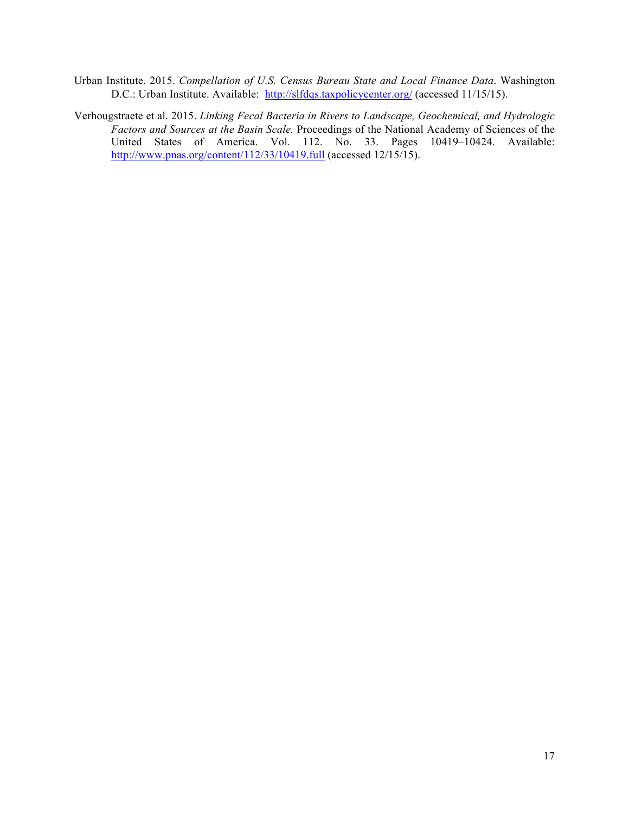- Urban Institute. 2015. *Compellation of U.S. Census Bureau State and Local Finance Data*. Washington D.C.: Urban Institute. Available: http://slfdqs.taxpolicycenter.org/ (accessed 11/15/15).
- Verhougstraete et al. 2015. *Linking Fecal Bacteria in Rivers to Landscape, Geochemical, and Hydrologic Factors and Sources at the Basin Scale.* Proceedings of the National Academy of Sciences of the United States of America. Vol. 112. No. 33. Pages 10419–10424. Available: http://www.pnas.org/content/112/33/10419.full (accessed 12/15/15).